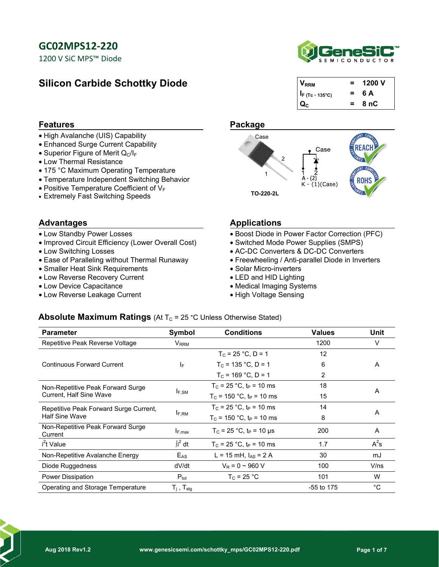1200 V SiC MPS™ Diode

## **Silicon Carbide Schottky Diode**



| / <sub>RRM</sub>            | $=$      | 1200 V |
|-----------------------------|----------|--------|
| $ I_F (Tc = 135^{\circ}C) $ | $=$      | 6 A    |
|                             | $\equiv$ | 8 nC   |

#### **Features** Package

- High Avalanche (UIS) Capability
- Enhanced Surge Current Capability
- Superior Figure of Merit  $Q_C/I_F$
- Low Thermal Resistance
- 175 °C Maximum Operating Temperature
- Temperature Independent Switching Behavior
- Positive Temperature Coefficient of  $V_F$
- Extremely Fast Switching Speeds **TO-220-2L**

- Low Standby Power Losses
- Improved Circuit Efficiency (Lower Overall Cost)
- Low Switching Losses
- Ease of Paralleling without Thermal Runaway
- Smaller Heat Sink Requirements
- Low Reverse Recovery Current
- Low Device Capacitance
- Low Reverse Leakage Current



#### Advantages **Advantages** Applications

- Boost Diode in Power Factor Correction (PFC)
- Switched Mode Power Supplies (SMPS)
- AC-DC Converters & DC-DC Converters
- Freewheeling / Anti-parallel Diode in Inverters
- Solar Micro-inverters
- LED and HID Lighting
- Medical Imaging Systems
- High Voltage Sensing

#### **Absolute Maximum Ratings** (At  $T_c = 25 \text{ °C}$  Unless Otherwise Stated)

| <b>Parameter</b>                                                    | Symbol                      | <b>Conditions</b>                      | <b>Values</b> | Unit   |  |
|---------------------------------------------------------------------|-----------------------------|----------------------------------------|---------------|--------|--|
| Repetitive Peak Reverse Voltage                                     | $\mathsf{V}_{\mathsf{RRM}}$ |                                        | 1200          | V      |  |
|                                                                     |                             | $T_c = 25 °C$ . D = 1                  | 12            |        |  |
| <b>Continuous Forward Current</b>                                   | IF.                         | $T_c = 135 °C$ . D = 1                 | 6             | A      |  |
|                                                                     |                             | $T_c = 169 °C$ , D = 1                 | 2             |        |  |
| Non-Repetitive Peak Forward Surge<br><b>Current, Half Sine Wave</b> | <b>IF.SM</b>                | $T_c = 25 °C$ . t <sub>p</sub> = 10 ms | 18            | A      |  |
|                                                                     |                             | $T_c$ = 150 °C, t <sub>P</sub> = 10 ms | 15            |        |  |
| Repetitive Peak Forward Surge Current,<br><b>Half Sine Wave</b>     | $I_{F,RM}$                  | $T_c = 25 °C$ , t <sub>P</sub> = 10 ms | 14            | A      |  |
|                                                                     |                             | $T_c$ = 150 °C, t <sub>P</sub> = 10 ms | 8             |        |  |
| Non-Repetitive Peak Forward Surge<br>Current                        | $I_{F,max}$                 | $T_c = 25 °C$ , t <sub>p</sub> = 10 us | 200           | A      |  |
| i <sup>2</sup> t Value                                              | $\int i^2 dt$               | $T_c = 25 °C$ , t <sub>p</sub> = 10 ms | 1.7           | $A^2s$ |  |
| Non-Repetitive Avalanche Energy                                     | E <sub>AS</sub>             | $L = 15$ mH, $I_{AS} = 2$ A            | 30            | mJ     |  |
| Diode Ruggedness                                                    | dV/dt                       | $V_R = 0 \sim 960 V$                   | 100           | V/ns   |  |
| <b>Power Dissipation</b>                                            | $P_{\text{tot}}$            | $T_c = 25 °C$                          | 101           | W      |  |
| Operating and Storage Temperature                                   | $T_i$ , $T_{\text{stg}}$    |                                        | -55 to 175    | °C     |  |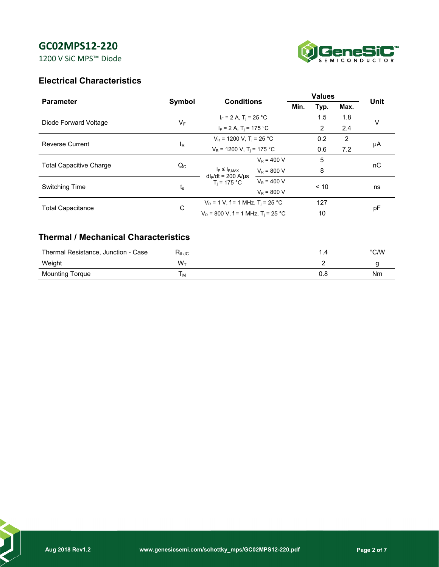1200 V SiC MPS™ Diode



## **Electrical Characteristics**

| <b>Parameter</b>               |                | <b>Conditions</b>                                |                             | <b>Values</b> |      |      |      |  |
|--------------------------------|----------------|--------------------------------------------------|-----------------------------|---------------|------|------|------|--|
|                                | Symbol         |                                                  |                             | Min.          | Typ. | Max. | Unit |  |
| Diode Forward Voltage          | $V_F$          |                                                  | $I_F = 2 A$ , $T_i = 25 °C$ |               | 1.5  | 1.8  | v    |  |
|                                |                | $I_F = 2 A$ , T <sub>i</sub> = 175 °C            |                             |               | 2    | 2.4  |      |  |
| <b>Reverse Current</b>         | <sup>I</sup> R | $V_R$ = 1200 V, T <sub>i</sub> = 25 °C           |                             | 0.2           | 2    |      |      |  |
|                                |                | $V_R$ = 1200 V, T <sub>i</sub> = 175 °C          |                             |               | 0.6  | 7.2  | μA   |  |
| <b>Total Capacitive Charge</b> | $Q_{C}$        |                                                  | $V_{\rm B} = 400 V$         |               | 5    |      | nC   |  |
|                                |                | $I_F \leq I_{F,MAX}$<br>$dl_F/dt = 200$ A/us     | $V_R = 800 V$               |               | 8    |      |      |  |
| <b>Switching Time</b>          | t。             | $T_i = 175 °C$                                   | $V_R = 400 V$               |               | < 10 |      | ns   |  |
|                                |                |                                                  | $V_R = 800 V$               |               |      |      |      |  |
| <b>Total Capacitance</b>       | C              | $V_R$ = 1 V, f = 1 MHz, T <sub>i</sub> = 25 °C   |                             |               | 127  |      | pF   |  |
|                                |                | $V_R$ = 800 V, f = 1 MHz, T <sub>i</sub> = 25 °C |                             |               | 10   |      |      |  |

## **Thermal / Mechanical Characteristics**

| Thermal Resistance, Junction - Case | $\mathsf{r}_{\mathsf{thJC}}$ |     | $\degree$ C/W |
|-------------------------------------|------------------------------|-----|---------------|
| Weight                              | W1                           |     |               |
| <b>Mounting Torque</b>              | $^{\rm{H}}$ M                | v.a | Nm            |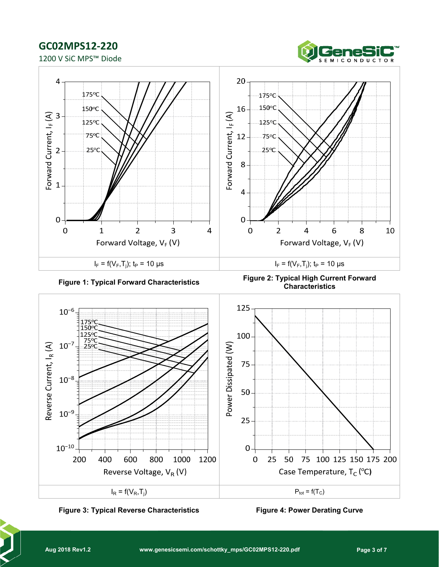







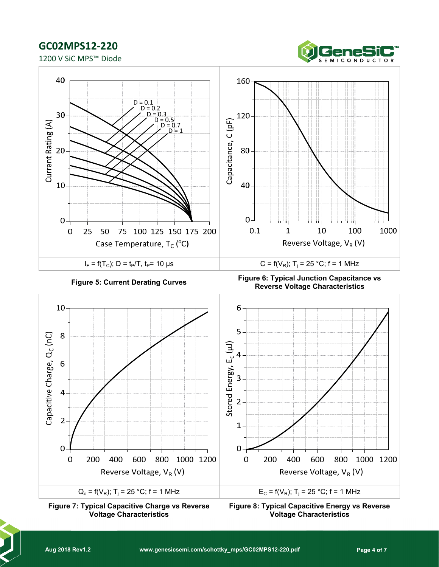1200 V SiC MPS™ Diode







**Figure 8: Typical Capacitive Energy vs Reverse Voltage Characteristics**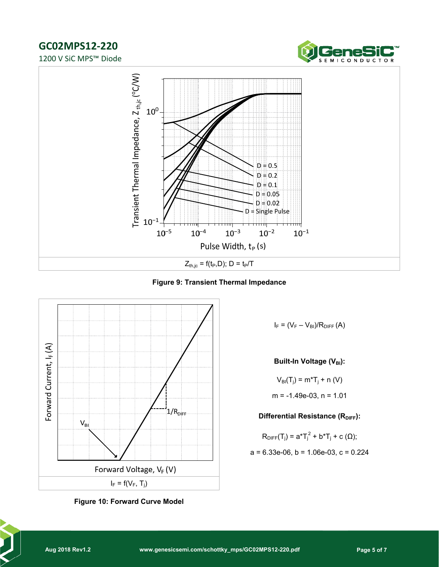1200 V SiC MPS™ Diode





**Figure 9: Transient Thermal Impedance**





 $I_F = (V_F - V_{BI})/R_{DIFF}(A)$ 

**Built-In Voltage (VBI):** 

$$
V_{\text{Bi}}(T_{j}) = m^{*}T_{j} + n (V)
$$
  
m = -1.49e-03, n = 1.01

**Differential Resistance (RDIFF):** 

$$
R_{\text{DIFF}}(T_j) = a^*T_j^2 + b^*T_j + c \ (\Omega);
$$

$$
a = 6.33e-06
$$
,  $b = 1.06e-03$ ,  $c = 0.224$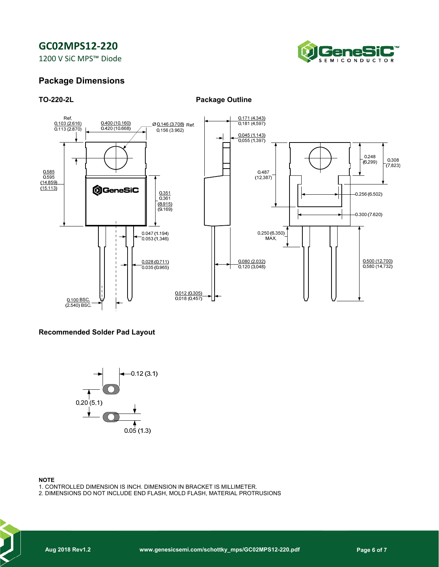1200 V SiC MPS™ Diode



### **Package Dimensions**

**TO-220-2L Package Outline** 



#### **Recommended Solder Pad Layout**



#### **NOTE**

- 1. CONTROLLED DIMENSION IS INCH. DIMENSION IN BRACKET IS MILLIMETER.
- 2. DIMENSIONS DO NOT INCLUDE END FLASH, MOLD FLASH, MATERIAL PROTRUSIONS